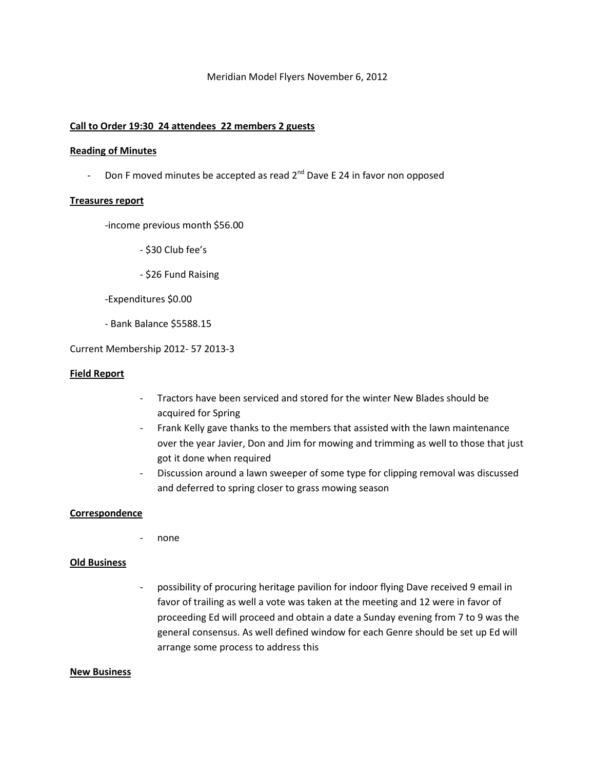# Meridian Model Flyers November 6, 2012

# **Call to Order 19:30 24 attendees 22 members 2 guests**

#### **Reading of Minutes**

- Don F moved minutes be accepted as read  $2^{nd}$  Dave E 24 in favor non opposed

#### **Treasures report**

-income previous month \$56.00

- \$30 Club fee's

- \$26 Fund Raising

-Expenditures \$0.00

- Bank Balance \$5588.15

Current Membership 2012- 57 2013-3

## **Field Report**

- Tractors have been serviced and stored for the winter New Blades should be acquired for Spring
- Frank Kelly gave thanks to the members that assisted with the lawn maintenance over the year Javier, Don and Jim for mowing and trimming as well to those that just got it done when required
- Discussion around a lawn sweeper of some type for clipping removal was discussed and deferred to spring closer to grass mowing season

## **Correspondence**

none

# **Old Business**

- possibility of procuring heritage pavilion for indoor flying Dave received 9 email in favor of trailing as well a vote was taken at the meeting and 12 were in favor of proceeding Ed will proceed and obtain a date a Sunday evening from 7 to 9 was the general consensus. As well defined window for each Genre should be set up Ed will arrange some process to address this

#### **New Business**